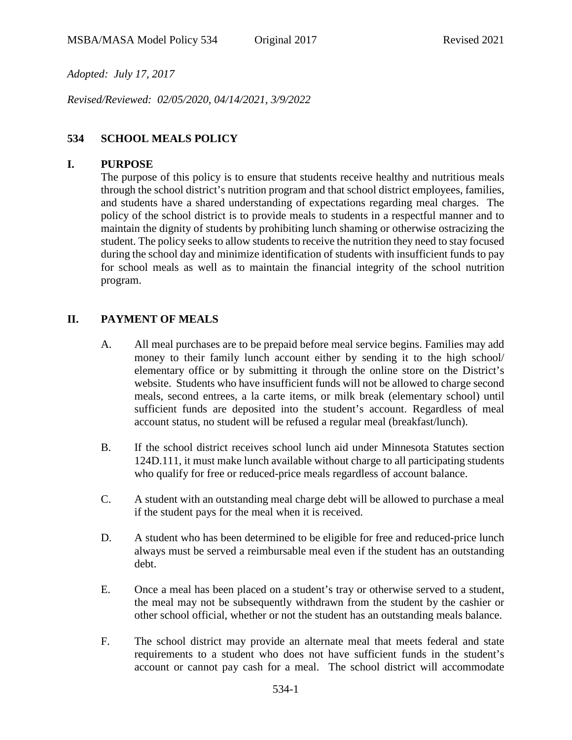*Adopted: July 17, 2017*

*Revised/Reviewed: 02/05/2020, 04/14/2021, 3/9/2022*

### **534 SCHOOL MEALS POLICY**

#### **I. PURPOSE**

The purpose of this policy is to ensure that students receive healthy and nutritious meals through the school district's nutrition program and that school district employees, families, and students have a shared understanding of expectations regarding meal charges. The policy of the school district is to provide meals to students in a respectful manner and to maintain the dignity of students by prohibiting lunch shaming or otherwise ostracizing the student. The policy seeks to allow students to receive the nutrition they need to stay focused during the school day and minimize identification of students with insufficient funds to pay for school meals as well as to maintain the financial integrity of the school nutrition program.

#### **II. PAYMENT OF MEALS**

- A. All meal purchases are to be prepaid before meal service begins. Families may add money to their family lunch account either by sending it to the high school/ elementary office or by submitting it through the online store on the District's website. Students who have insufficient funds will not be allowed to charge second meals, second entrees, a la carte items, or milk break (elementary school) until sufficient funds are deposited into the student's account. Regardless of meal account status, no student will be refused a regular meal (breakfast/lunch).
- B. If the school district receives school lunch aid under Minnesota Statutes section 124D.111, it must make lunch available without charge to all participating students who qualify for free or reduced-price meals regardless of account balance.
- C. A student with an outstanding meal charge debt will be allowed to purchase a meal if the student pays for the meal when it is received.
- D. A student who has been determined to be eligible for free and reduced-price lunch always must be served a reimbursable meal even if the student has an outstanding debt.
- E. Once a meal has been placed on a student's tray or otherwise served to a student, the meal may not be subsequently withdrawn from the student by the cashier or other school official, whether or not the student has an outstanding meals balance.
- F. The school district may provide an alternate meal that meets federal and state requirements to a student who does not have sufficient funds in the student's account or cannot pay cash for a meal. The school district will accommodate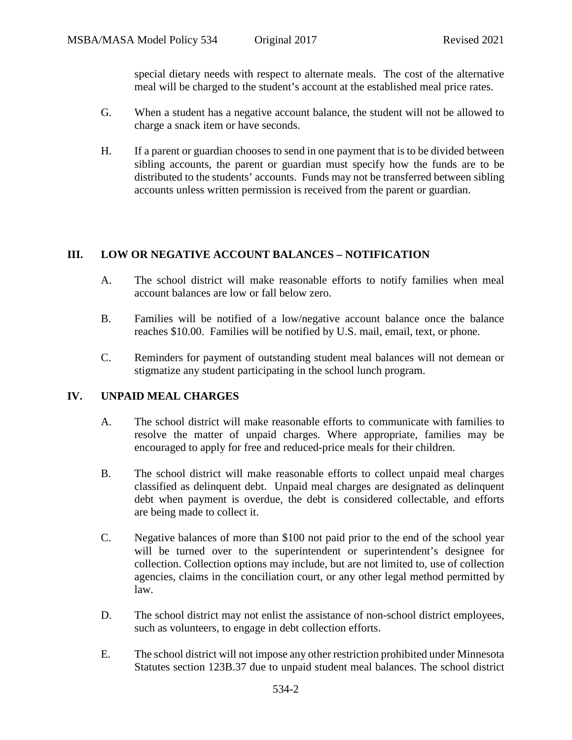special dietary needs with respect to alternate meals. The cost of the alternative meal will be charged to the student's account at the established meal price rates.

- G. When a student has a negative account balance, the student will not be allowed to charge a snack item or have seconds.
- H. If a parent or guardian chooses to send in one payment that is to be divided between sibling accounts, the parent or guardian must specify how the funds are to be distributed to the students' accounts. Funds may not be transferred between sibling accounts unless written permission is received from the parent or guardian.

# **III. LOW OR NEGATIVE ACCOUNT BALANCES – NOTIFICATION**

- A. The school district will make reasonable efforts to notify families when meal account balances are low or fall below zero.
- B. Families will be notified of a low/negative account balance once the balance reaches \$10.00. Families will be notified by U.S. mail, email, text, or phone.
- C. Reminders for payment of outstanding student meal balances will not demean or stigmatize any student participating in the school lunch program.

### **IV. UNPAID MEAL CHARGES**

- A. The school district will make reasonable efforts to communicate with families to resolve the matter of unpaid charges. Where appropriate, families may be encouraged to apply for free and reduced-price meals for their children.
- B. The school district will make reasonable efforts to collect unpaid meal charges classified as delinquent debt. Unpaid meal charges are designated as delinquent debt when payment is overdue, the debt is considered collectable, and efforts are being made to collect it.
- C. Negative balances of more than \$100 not paid prior to the end of the school year will be turned over to the superintendent or superintendent's designee for collection. Collection options may include, but are not limited to, use of collection agencies, claims in the conciliation court, or any other legal method permitted by law.
- D. The school district may not enlist the assistance of non-school district employees, such as volunteers, to engage in debt collection efforts.
- E. The school district will not impose any other restriction prohibited under Minnesota Statutes section 123B.37 due to unpaid student meal balances. The school district